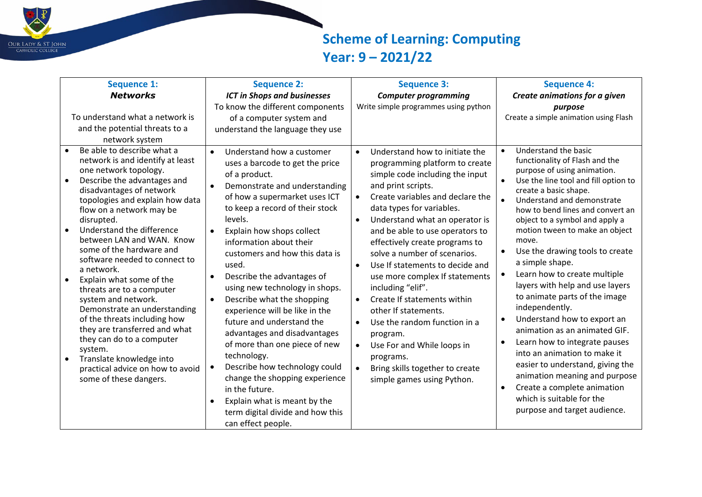

## **Scheme of Learning: Computing Year: 9 – 2021/22**

| <b>Sequence 1:</b>                                                                                                                                                                                                                                                                                                                                                                                                                                                                    | <b>Sequence 2:</b>                                                                                                                                                                                                                                                                                                                                                                                                                                                           | <b>Sequence 3:</b>                                                                                                                                                                                                                                                                                                                                                                                                                                               | <b>Sequence 4:</b>                                                                                                                                                                                                                                                                                                                                                                                                           |
|---------------------------------------------------------------------------------------------------------------------------------------------------------------------------------------------------------------------------------------------------------------------------------------------------------------------------------------------------------------------------------------------------------------------------------------------------------------------------------------|------------------------------------------------------------------------------------------------------------------------------------------------------------------------------------------------------------------------------------------------------------------------------------------------------------------------------------------------------------------------------------------------------------------------------------------------------------------------------|------------------------------------------------------------------------------------------------------------------------------------------------------------------------------------------------------------------------------------------------------------------------------------------------------------------------------------------------------------------------------------------------------------------------------------------------------------------|------------------------------------------------------------------------------------------------------------------------------------------------------------------------------------------------------------------------------------------------------------------------------------------------------------------------------------------------------------------------------------------------------------------------------|
| <b>Networks</b>                                                                                                                                                                                                                                                                                                                                                                                                                                                                       | <b>ICT in Shops and businesses</b>                                                                                                                                                                                                                                                                                                                                                                                                                                           | <b>Computer programming</b>                                                                                                                                                                                                                                                                                                                                                                                                                                      | Create animations for a given                                                                                                                                                                                                                                                                                                                                                                                                |
| To understand what a network is<br>and the potential threats to a<br>network system<br>Be able to describe what a<br>$\bullet$<br>network is and identify at least<br>one network topology.<br>Describe the advantages and<br>disadvantages of network<br>topologies and explain how data<br>flow on a network may be<br>disrupted.<br>Understand the difference<br>$\bullet$<br>between LAN and WAN. Know<br>some of the hardware and<br>software needed to connect to<br>a network. | To know the different components<br>of a computer system and<br>understand the language they use<br>Understand how a customer<br>$\bullet$<br>uses a barcode to get the price<br>of a product.<br>Demonstrate and understanding<br>$\bullet$<br>of how a supermarket uses ICT<br>to keep a record of their stock<br>levels.<br>Explain how shops collect<br>$\bullet$<br>information about their<br>customers and how this data is<br>used.                                  | Write simple programmes using python<br>Understand how to initiate the<br>$\bullet$<br>programming platform to create<br>simple code including the input<br>and print scripts.<br>Create variables and declare the<br>$\bullet$<br>data types for variables.<br>Understand what an operator is<br>$\bullet$<br>and be able to use operators to<br>effectively create programs to<br>solve a number of scenarios.<br>Use If statements to decide and<br>$\bullet$ | purpose<br>Create a simple animation using Flash<br>Understand the basic<br>$\bullet$<br>functionality of Flash and the<br>purpose of using animation.<br>Use the line tool and fill option to<br>create a basic shape.<br>Understand and demonstrate<br>how to bend lines and convert an<br>object to a symbol and apply a<br>motion tween to make an object<br>move.<br>Use the drawing tools to create<br>a simple shape. |
| Explain what some of the<br>threats are to a computer<br>system and network.<br>Demonstrate an understanding<br>of the threats including how<br>they are transferred and what<br>they can do to a computer<br>system.<br>Translate knowledge into<br>$\bullet$<br>practical advice on how to avoid<br>some of these dangers.                                                                                                                                                          | Describe the advantages of<br>$\bullet$<br>using new technology in shops.<br>Describe what the shopping<br>$\bullet$<br>experience will be like in the<br>future and understand the<br>advantages and disadvantages<br>of more than one piece of new<br>technology.<br>Describe how technology could<br>$\bullet$<br>change the shopping experience<br>in the future.<br>Explain what is meant by the<br>$\bullet$<br>term digital divide and how this<br>can effect people. | use more complex If statements<br>including "elif".<br>Create If statements within<br>$\bullet$<br>other If statements.<br>Use the random function in a<br>$\bullet$<br>program.<br>Use For and While loops in<br>$\bullet$<br>programs.<br>Bring skills together to create<br>$\bullet$<br>simple games using Python.                                                                                                                                           | Learn how to create multiple<br>layers with help and use layers<br>to animate parts of the image<br>independently.<br>Understand how to export an<br>animation as an animated GIF.<br>Learn how to integrate pauses<br>into an animation to make it<br>easier to understand, giving the<br>animation meaning and purpose<br>Create a complete animation<br>which is suitable for the<br>purpose and target audience.         |